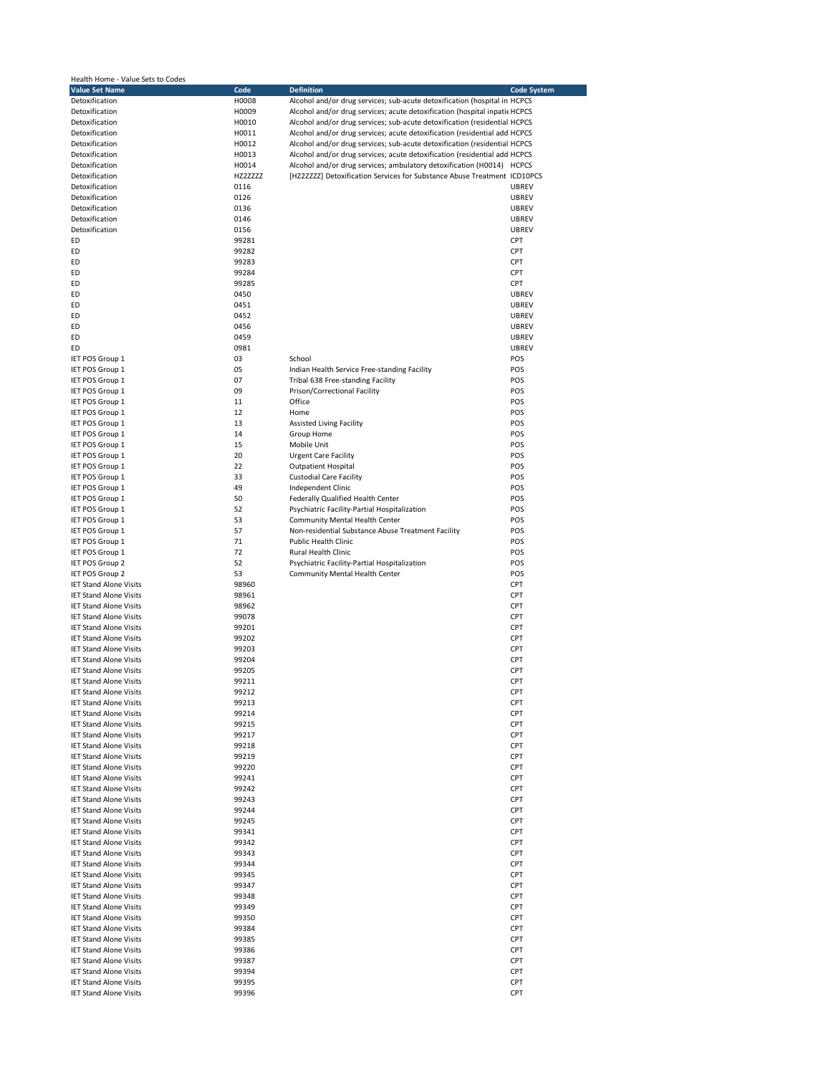| Health Home - Value Sets to Codes |          |                                                                           |                    |
|-----------------------------------|----------|---------------------------------------------------------------------------|--------------------|
| <b>Value Set Name</b>             | Code     | <b>Definition</b>                                                         | <b>Code System</b> |
| Detoxification                    | H0008    | Alcohol and/or drug services; sub-acute detoxification (hospital in HCPCS |                    |
| Detoxification                    | H0009    | Alcohol and/or drug services; acute detoxification (hospital inpati HCPCS |                    |
|                                   |          |                                                                           |                    |
| Detoxification                    | H0010    | Alcohol and/or drug services; sub-acute detoxification (residential HCPCS |                    |
| Detoxification                    | H0011    | Alcohol and/or drug services; acute detoxification (residential add HCPCS |                    |
| Detoxification                    | H0012    | Alcohol and/or drug services; sub-acute detoxification (residential HCPCS |                    |
| Detoxification                    | H0013    | Alcohol and/or drug services; acute detoxification (residential add HCPCS |                    |
|                                   |          |                                                                           |                    |
| Detoxification                    | H0014    | Alcohol and/or drug services; ambulatory detoxification (H0014) HCPCS     |                    |
| Detoxification                    | HZ2ZZZZZ | [HZ2ZZZZ] Detoxification Services for Substance Abuse Treatment ICD10PCS  |                    |
| Detoxification                    | 0116     |                                                                           | <b>UBREV</b>       |
| Detoxification                    | 0126     |                                                                           | <b>UBREV</b>       |
|                                   |          |                                                                           |                    |
| Detoxification                    | 0136     |                                                                           | <b>UBREV</b>       |
| Detoxification                    | 0146     |                                                                           | <b>UBREV</b>       |
| Detoxification                    | 0156     |                                                                           | <b>UBREV</b>       |
| ED                                | 99281    |                                                                           | CPT                |
| ED                                | 99282    |                                                                           | CPT                |
|                                   |          |                                                                           |                    |
| ED                                | 99283    |                                                                           | CPT                |
| ED                                | 99284    |                                                                           | CPT                |
| ED                                | 99285    |                                                                           | CPT                |
| ED                                | 0450     |                                                                           | <b>UBREV</b>       |
| ED                                | 0451     |                                                                           | <b>UBREV</b>       |
|                                   |          |                                                                           |                    |
| ED                                | 0452     |                                                                           | <b>UBREV</b>       |
| ED                                | 0456     |                                                                           | <b>UBREV</b>       |
| ED                                | 0459     |                                                                           | <b>UBREV</b>       |
| ED                                | 0981     |                                                                           | <b>UBREV</b>       |
|                                   |          |                                                                           |                    |
| IET POS Group 1                   | 03       | School                                                                    | POS                |
| IET POS Group 1                   | 05       | Indian Health Service Free-standing Facility                              | POS                |
| IET POS Group 1                   | 07       | Tribal 638 Free-standing Facility                                         | POS                |
| IET POS Group 1                   | 09       | Prison/Correctional Facility                                              | POS                |
|                                   |          |                                                                           |                    |
| IET POS Group 1                   | 11       | Office                                                                    | POS                |
| IET POS Group 1                   | 12       | Home                                                                      | POS                |
| IET POS Group 1                   | 13       | <b>Assisted Living Facility</b>                                           | POS                |
| IET POS Group 1                   | 14       | Group Home                                                                | POS                |
| IET POS Group 1                   | 15       | Mobile Unit                                                               | POS                |
|                                   |          |                                                                           |                    |
| IET POS Group 1                   | 20       | <b>Urgent Care Facility</b>                                               | POS                |
| IET POS Group 1                   | 22       | <b>Outpatient Hospital</b>                                                | POS                |
| IET POS Group 1                   | 33       | <b>Custodial Care Facility</b>                                            | POS                |
| IET POS Group 1                   | 49       | Independent Clinic                                                        | POS                |
|                                   | 50       |                                                                           | POS                |
| IET POS Group 1                   |          | Federally Qualified Health Center                                         |                    |
| IET POS Group 1                   | 52       | Psychiatric Facility-Partial Hospitalization                              | POS                |
| IET POS Group 1                   | 53       | Community Mental Health Center                                            | POS                |
| IET POS Group 1                   | 57       | Non-residential Substance Abuse Treatment Facility                        | POS                |
| IET POS Group 1                   | 71       | <b>Public Health Clinic</b>                                               | POS                |
|                                   |          |                                                                           |                    |
| IET POS Group 1                   | 72       | Rural Health Clinic                                                       | POS                |
| IET POS Group 2                   | 52       | Psychiatric Facility-Partial Hospitalization                              | POS                |
| IET POS Group 2                   | 53       | Community Mental Health Center                                            | POS                |
| <b>IET Stand Alone Visits</b>     | 98960    |                                                                           | CPT                |
|                                   |          |                                                                           |                    |
| <b>IET Stand Alone Visits</b>     | 98961    |                                                                           | CPT                |
| <b>IET Stand Alone Visits</b>     | 98962    |                                                                           | CPT                |
| <b>IET Stand Alone Visits</b>     | 99078    |                                                                           | CPT                |
| <b>IET Stand Alone Visits</b>     | 99201    |                                                                           | CPT                |
| <b>IET Stand Alone Visits</b>     | 99202    |                                                                           | CPT                |
| <b>IET Stand Alone Visits</b>     |          |                                                                           |                    |
|                                   | 99203    |                                                                           | CPT                |
| <b>IET Stand Alone Visits</b>     | 99204    |                                                                           | CPT                |
| <b>IET Stand Alone Visits</b>     | 99205    |                                                                           | CPT                |
| <b>IET Stand Alone Visits</b>     | 99211    |                                                                           | CPT                |
| <b>IET Stand Alone Visits</b>     | 99212    |                                                                           | CPT                |
| <b>IET Stand Alone Visits</b>     | 99213    |                                                                           | CPT                |
|                                   |          |                                                                           |                    |
| <b>IET Stand Alone Visits</b>     | 99214    |                                                                           | CPT                |
| <b>IET Stand Alone Visits</b>     | 99215    |                                                                           | CPT                |
| <b>IET Stand Alone Visits</b>     | 99217    |                                                                           | CPT                |
| <b>IET Stand Alone Visits</b>     | 99218    |                                                                           | CPT                |
| <b>IET Stand Alone Visits</b>     | 99219    |                                                                           | CPT                |
|                                   |          |                                                                           |                    |
| <b>IET Stand Alone Visits</b>     | 99220    |                                                                           | CPT                |
| <b>IET Stand Alone Visits</b>     | 99241    |                                                                           | CPT                |
| <b>IET Stand Alone Visits</b>     | 99242    |                                                                           | CPT                |
| <b>IET Stand Alone Visits</b>     | 99243    |                                                                           | CPT                |
| <b>IET Stand Alone Visits</b>     | 99244    |                                                                           | CPT                |
|                                   |          |                                                                           |                    |
| <b>IET Stand Alone Visits</b>     | 99245    |                                                                           | CPT                |
| <b>IET Stand Alone Visits</b>     | 99341    |                                                                           | CPT                |
| <b>IET Stand Alone Visits</b>     | 99342    |                                                                           | CPT                |
| <b>IET Stand Alone Visits</b>     | 99343    |                                                                           | CPT                |
| <b>IET Stand Alone Visits</b>     | 99344    |                                                                           | CPT                |
|                                   |          |                                                                           |                    |
| <b>IET Stand Alone Visits</b>     | 99345    |                                                                           | CPT                |
| <b>IET Stand Alone Visits</b>     | 99347    |                                                                           | CPT                |
| <b>IET Stand Alone Visits</b>     | 99348    |                                                                           | CPT                |
| <b>IET Stand Alone Visits</b>     | 99349    |                                                                           | CPT                |
|                                   |          |                                                                           |                    |
| <b>IET Stand Alone Visits</b>     | 99350    |                                                                           | CPT                |
| <b>IET Stand Alone Visits</b>     | 99384    |                                                                           | CPT                |
| <b>IET Stand Alone Visits</b>     | 99385    |                                                                           | CPT                |
| <b>IET Stand Alone Visits</b>     | 99386    |                                                                           | CPT                |
| <b>IET Stand Alone Visits</b>     |          |                                                                           |                    |
|                                   | 99387    |                                                                           | CPT                |
| <b>IET Stand Alone Visits</b>     | 99394    |                                                                           | CPT                |
| <b>IET Stand Alone Visits</b>     | 99395    |                                                                           | CPT                |
| <b>IET Stand Alone Visits</b>     | 99396    |                                                                           | CPT                |
|                                   |          |                                                                           |                    |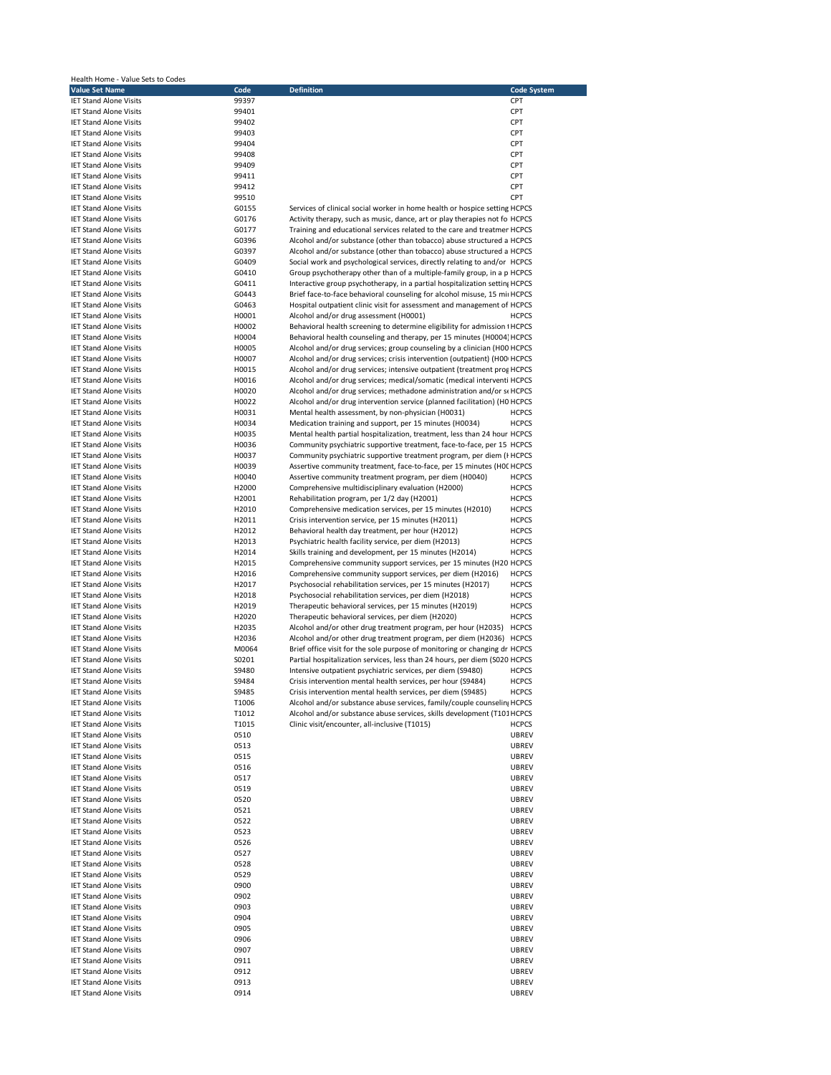| Health Home - Value Sets to Codes                              |                |                                                                                                                                                     |                              |
|----------------------------------------------------------------|----------------|-----------------------------------------------------------------------------------------------------------------------------------------------------|------------------------------|
| <b>Value Set Name</b>                                          | Code           | <b>Definition</b>                                                                                                                                   | <b>Code System</b>           |
| <b>IET Stand Alone Visits</b>                                  | 99397          |                                                                                                                                                     | CPT                          |
| <b>IET Stand Alone Visits</b><br><b>IET Stand Alone Visits</b> | 99401<br>99402 |                                                                                                                                                     | CPT<br>CPT                   |
| <b>IET Stand Alone Visits</b>                                  | 99403          |                                                                                                                                                     | CPT                          |
| <b>IET Stand Alone Visits</b>                                  | 99404          |                                                                                                                                                     | CPT                          |
| <b>IET Stand Alone Visits</b>                                  | 99408          |                                                                                                                                                     | CPT                          |
| <b>IET Stand Alone Visits</b>                                  | 99409          |                                                                                                                                                     | CPT                          |
| <b>IET Stand Alone Visits</b>                                  | 99411          |                                                                                                                                                     | CPT                          |
| <b>IET Stand Alone Visits</b>                                  | 99412          |                                                                                                                                                     | CPT                          |
| <b>IET Stand Alone Visits</b>                                  | 99510          |                                                                                                                                                     | CPT                          |
| <b>IET Stand Alone Visits</b>                                  | G0155          | Services of clinical social worker in home health or hospice setting HCPCS                                                                          |                              |
| <b>IET Stand Alone Visits</b>                                  | G0176          | Activity therapy, such as music, dance, art or play therapies not fo HCPCS                                                                          |                              |
| <b>IET Stand Alone Visits</b>                                  | G0177          | Training and educational services related to the care and treatmer HCPCS<br>Alcohol and/or substance (other than tobacco) abuse structured a HCPCS  |                              |
| <b>IET Stand Alone Visits</b><br><b>IET Stand Alone Visits</b> | G0396<br>G0397 | Alcohol and/or substance (other than tobacco) abuse structured a HCPCS                                                                              |                              |
| <b>IET Stand Alone Visits</b>                                  | G0409          | Social work and psychological services, directly relating to and/or HCPCS                                                                           |                              |
| <b>IET Stand Alone Visits</b>                                  | G0410          | Group psychotherapy other than of a multiple-family group, in a p HCPCS                                                                             |                              |
| <b>IET Stand Alone Visits</b>                                  | G0411          | Interactive group psychotherapy, in a partial hospitalization settin; HCPCS                                                                         |                              |
| <b>IET Stand Alone Visits</b>                                  | G0443          | Brief face-to-face behavioral counseling for alcohol misuse, 15 mi HCPCS                                                                            |                              |
| <b>IET Stand Alone Visits</b>                                  | G0463          | Hospital outpatient clinic visit for assessment and management of HCPCS                                                                             |                              |
| <b>IET Stand Alone Visits</b>                                  | H0001          | Alcohol and/or drug assessment (H0001)                                                                                                              | <b>HCPCS</b>                 |
| <b>IET Stand Alone Visits</b>                                  | H0002          | Behavioral health screening to determine eligibility for admission : HCPCS                                                                          |                              |
| <b>IET Stand Alone Visits</b>                                  | H0004          | Behavioral health counseling and therapy, per 15 minutes (H0004 HCPCS                                                                               |                              |
| <b>IET Stand Alone Visits</b>                                  | H0005          | Alcohol and/or drug services; group counseling by a clinician (H00 HCPCS                                                                            |                              |
| <b>IET Stand Alone Visits</b>                                  | H0007          | Alcohol and/or drug services; crisis intervention (outpatient) (H00 HCPCS                                                                           |                              |
| <b>IET Stand Alone Visits</b>                                  | H0015          | Alcohol and/or drug services; intensive outpatient (treatment prof HCPCS                                                                            |                              |
| <b>IET Stand Alone Visits</b>                                  | H0016          | Alcohol and/or drug services; medical/somatic (medical interventi HCPCS                                                                             |                              |
| <b>IET Stand Alone Visits</b><br><b>IET Stand Alone Visits</b> | H0020<br>H0022 | Alcohol and/or drug services; methadone administration and/or si HCPCS<br>Alcohol and/or drug intervention service (planned facilitation) (H0 HCPCS |                              |
| <b>IET Stand Alone Visits</b>                                  | H0031          | Mental health assessment, by non-physician (H0031)                                                                                                  | <b>HCPCS</b>                 |
| <b>IET Stand Alone Visits</b>                                  | H0034          | Medication training and support, per 15 minutes (H0034)                                                                                             | <b>HCPCS</b>                 |
| <b>IET Stand Alone Visits</b>                                  | H0035          | Mental health partial hospitalization, treatment, less than 24 hour HCPCS                                                                           |                              |
| <b>IET Stand Alone Visits</b>                                  | H0036          | Community psychiatric supportive treatment, face-to-face, per 15 HCPCS                                                                              |                              |
| <b>IET Stand Alone Visits</b>                                  | H0037          | Community psychiatric supportive treatment program, per diem (I HCPCS                                                                               |                              |
| <b>IET Stand Alone Visits</b>                                  | H0039          | Assertive community treatment, face-to-face, per 15 minutes (HOC HCPCS                                                                              |                              |
| <b>IET Stand Alone Visits</b>                                  | H0040          | Assertive community treatment program, per diem (H0040)                                                                                             | <b>HCPCS</b>                 |
| <b>IET Stand Alone Visits</b>                                  | H2000          | Comprehensive multidisciplinary evaluation (H2000)                                                                                                  | <b>HCPCS</b>                 |
| <b>IET Stand Alone Visits</b>                                  | H2001          | Rehabilitation program, per 1/2 day (H2001)                                                                                                         | <b>HCPCS</b>                 |
| <b>IET Stand Alone Visits</b>                                  | H2010          | Comprehensive medication services, per 15 minutes (H2010)                                                                                           | <b>HCPCS</b>                 |
| <b>IET Stand Alone Visits</b>                                  | H2011          | Crisis intervention service, per 15 minutes (H2011)                                                                                                 | <b>HCPCS</b>                 |
| <b>IET Stand Alone Visits</b>                                  | H2012          | Behavioral health day treatment, per hour (H2012)                                                                                                   | <b>HCPCS</b>                 |
| <b>IET Stand Alone Visits</b>                                  | H2013          | Psychiatric health facility service, per diem (H2013)                                                                                               | <b>HCPCS</b>                 |
| <b>IET Stand Alone Visits</b>                                  | H2014          | Skills training and development, per 15 minutes (H2014)                                                                                             | <b>HCPCS</b>                 |
| <b>IET Stand Alone Visits</b>                                  | H2015          | Comprehensive community support services, per 15 minutes (H20 HCPCS                                                                                 |                              |
| <b>IET Stand Alone Visits</b>                                  | H2016          | Comprehensive community support services, per diem (H2016)                                                                                          | <b>HCPCS</b>                 |
| <b>IET Stand Alone Visits</b><br><b>IET Stand Alone Visits</b> | H2017<br>H2018 | Psychosocial rehabilitation services, per 15 minutes (H2017)<br>Psychosocial rehabilitation services, per diem (H2018)                              | <b>HCPCS</b><br><b>HCPCS</b> |
| <b>IET Stand Alone Visits</b>                                  | H2019          | Therapeutic behavioral services, per 15 minutes (H2019)                                                                                             | <b>HCPCS</b>                 |
| <b>IET Stand Alone Visits</b>                                  | H2020          | Therapeutic behavioral services, per diem (H2020)                                                                                                   | <b>HCPCS</b>                 |
| <b>IET Stand Alone Visits</b>                                  | H2035          | Alcohol and/or other drug treatment program, per hour (H2035) HCPCS                                                                                 |                              |
| <b>IET Stand Alone Visits</b>                                  | H2036          | Alcohol and/or other drug treatment program, per diem (H2036) HCPCS                                                                                 |                              |
| <b>IET Stand Alone Visits</b>                                  | M0064          | Brief office visit for the sole purpose of monitoring or changing dr HCPCS                                                                          |                              |
| <b>IET Stand Alone Visits</b>                                  | S0201          | Partial hospitalization services, less than 24 hours, per diem (S020 HCPCS                                                                          |                              |
| <b>IET Stand Alone Visits</b>                                  | S9480          | Intensive outpatient psychiatric services, per diem (S9480)                                                                                         | <b>HCPCS</b>                 |
| <b>IET Stand Alone Visits</b>                                  | S9484          | Crisis intervention mental health services, per hour (S9484)                                                                                        | <b>HCPCS</b>                 |
| <b>IET Stand Alone Visits</b>                                  | S9485          | Crisis intervention mental health services, per diem (S9485)                                                                                        | <b>HCPCS</b>                 |
| <b>IET Stand Alone Visits</b>                                  | T1006          | Alcohol and/or substance abuse services, family/couple counselin HCPCS                                                                              |                              |
| <b>IET Stand Alone Visits</b>                                  | T1012          | Alcohol and/or substance abuse services, skills development (T101 HCPCS                                                                             |                              |
| <b>IET Stand Alone Visits</b>                                  | T1015          | Clinic visit/encounter, all-inclusive (T1015)                                                                                                       | <b>HCPCS</b>                 |
| <b>IET Stand Alone Visits</b>                                  | 0510           |                                                                                                                                                     | <b>UBREV</b>                 |
| <b>IET Stand Alone Visits</b>                                  | 0513           |                                                                                                                                                     | <b>UBREV</b>                 |
| <b>IET Stand Alone Visits</b>                                  | 0515           |                                                                                                                                                     | <b>UBREV</b>                 |
| <b>IET Stand Alone Visits</b><br><b>IET Stand Alone Visits</b> | 0516           |                                                                                                                                                     | <b>UBREV</b>                 |
| <b>IET Stand Alone Visits</b>                                  | 0517<br>0519   |                                                                                                                                                     | <b>UBREV</b><br><b>UBREV</b> |
| <b>IET Stand Alone Visits</b>                                  | 0520           |                                                                                                                                                     | <b>UBREV</b>                 |
| <b>IET Stand Alone Visits</b>                                  | 0521           |                                                                                                                                                     | <b>UBREV</b>                 |
| <b>IET Stand Alone Visits</b>                                  | 0522           |                                                                                                                                                     | <b>UBREV</b>                 |
| <b>IET Stand Alone Visits</b>                                  | 0523           |                                                                                                                                                     | <b>UBREV</b>                 |
| <b>IET Stand Alone Visits</b>                                  | 0526           |                                                                                                                                                     | <b>UBREV</b>                 |
| <b>IET Stand Alone Visits</b>                                  | 0527           |                                                                                                                                                     | <b>UBREV</b>                 |
| <b>IET Stand Alone Visits</b>                                  | 0528           |                                                                                                                                                     | <b>UBREV</b>                 |
| <b>IET Stand Alone Visits</b>                                  | 0529           |                                                                                                                                                     | <b>UBREV</b>                 |
| <b>IET Stand Alone Visits</b>                                  | 0900           |                                                                                                                                                     | <b>UBREV</b>                 |
| <b>IET Stand Alone Visits</b>                                  | 0902           |                                                                                                                                                     | <b>UBREV</b>                 |
| <b>IET Stand Alone Visits</b>                                  | 0903           |                                                                                                                                                     | <b>UBREV</b>                 |
| <b>IET Stand Alone Visits</b>                                  | 0904           |                                                                                                                                                     | <b>UBREV</b>                 |
| <b>IET Stand Alone Visits</b>                                  | 0905           |                                                                                                                                                     | <b>UBREV</b>                 |
| <b>IET Stand Alone Visits</b>                                  | 0906           |                                                                                                                                                     | <b>UBREV</b>                 |
| <b>IET Stand Alone Visits</b>                                  | 0907           |                                                                                                                                                     | <b>UBREV</b>                 |
| <b>IET Stand Alone Visits</b><br><b>IET Stand Alone Visits</b> | 0911           |                                                                                                                                                     | <b>UBREV</b><br><b>UBREV</b> |
| <b>IET Stand Alone Visits</b>                                  | 0912<br>0913   |                                                                                                                                                     | <b>UBREV</b>                 |
| <b>IET Stand Alone Visits</b>                                  | 0914           |                                                                                                                                                     | <b>UBREV</b>                 |
|                                                                |                |                                                                                                                                                     |                              |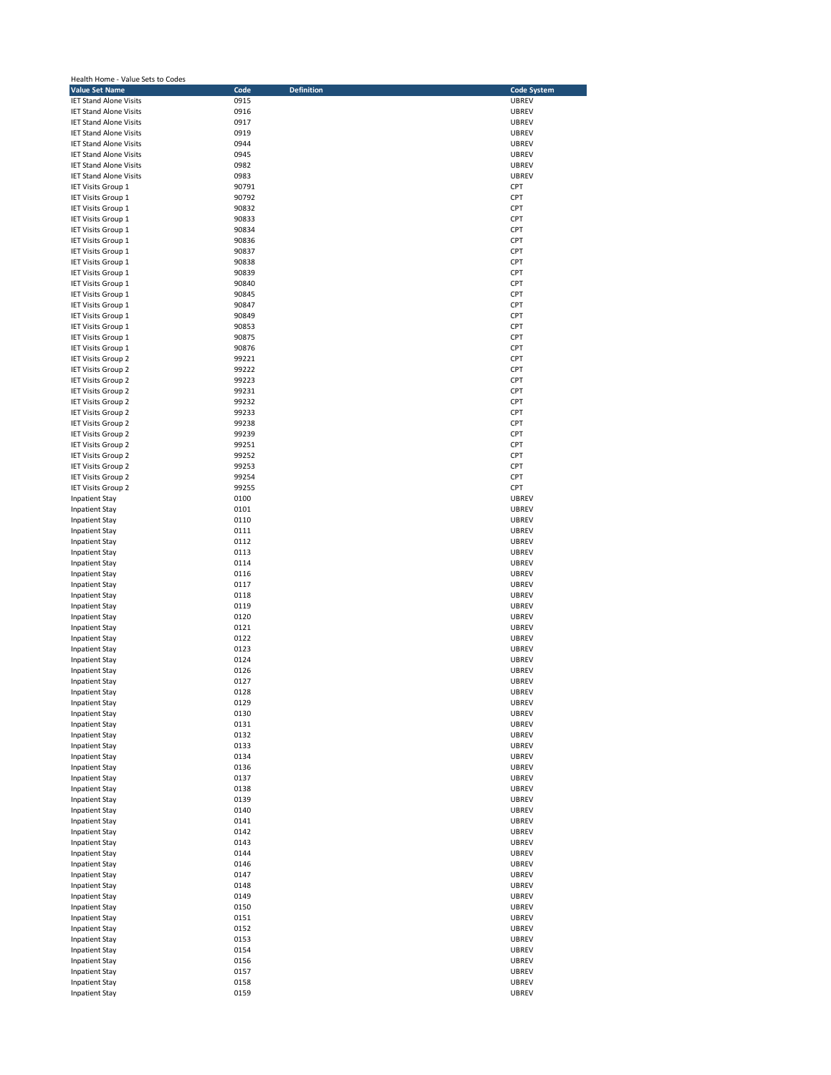| Health Home - Value Sets to Codes                              |                           |                              |  |  |
|----------------------------------------------------------------|---------------------------|------------------------------|--|--|
| <b>Value Set Name</b>                                          | Code<br><b>Definition</b> | <b>Code System</b>           |  |  |
| <b>IET Stand Alone Visits</b>                                  | 0915                      | <b>UBREV</b>                 |  |  |
| <b>IET Stand Alone Visits</b>                                  | 0916                      | <b>UBREV</b>                 |  |  |
| <b>IET Stand Alone Visits</b><br><b>IET Stand Alone Visits</b> | 0917<br>0919              | UBREV<br><b>UBREV</b>        |  |  |
| <b>IET Stand Alone Visits</b>                                  | 0944                      | <b>UBREV</b>                 |  |  |
| <b>IET Stand Alone Visits</b>                                  | 0945                      | UBREV                        |  |  |
| <b>IET Stand Alone Visits</b>                                  | 0982                      | <b>UBREV</b>                 |  |  |
| <b>IET Stand Alone Visits</b>                                  | 0983                      | <b>UBREV</b>                 |  |  |
| <b>IET Visits Group 1</b>                                      | 90791                     | CPT                          |  |  |
| <b>IET Visits Group 1</b>                                      | 90792                     | CPT                          |  |  |
| IET Visits Group 1                                             | 90832                     | CPT                          |  |  |
| IET Visits Group 1                                             | 90833                     | CPT                          |  |  |
| IET Visits Group 1                                             | 90834                     | CPT                          |  |  |
| <b>IET Visits Group 1</b>                                      | 90836                     | CPT                          |  |  |
| IET Visits Group 1                                             | 90837                     | CPT                          |  |  |
| IET Visits Group 1                                             | 90838                     | CPT                          |  |  |
| <b>IET Visits Group 1</b>                                      | 90839                     | CPT                          |  |  |
| IET Visits Group 1                                             | 90840                     | CPT                          |  |  |
| IET Visits Group 1                                             | 90845                     | CPT<br>CPT                   |  |  |
| IET Visits Group 1<br><b>IET Visits Group 1</b>                | 90847<br>90849            | CPT                          |  |  |
| IET Visits Group 1                                             | 90853                     | CPT                          |  |  |
| <b>IET Visits Group 1</b>                                      | 90875                     | CPT                          |  |  |
| IET Visits Group 1                                             | 90876                     | CPT                          |  |  |
| IET Visits Group 2                                             | 99221                     | CPT                          |  |  |
| IET Visits Group 2                                             | 99222                     | CPT                          |  |  |
| IET Visits Group 2                                             | 99223                     | CPT                          |  |  |
| IET Visits Group 2                                             | 99231                     | CPT                          |  |  |
| IET Visits Group 2                                             | 99232                     | CPT                          |  |  |
| <b>IET Visits Group 2</b>                                      | 99233                     | CPT                          |  |  |
| <b>IET Visits Group 2</b>                                      | 99238                     | CPT                          |  |  |
| IET Visits Group 2                                             | 99239                     | CPT                          |  |  |
| IET Visits Group 2                                             | 99251                     | CPT                          |  |  |
| <b>IET Visits Group 2</b>                                      | 99252                     | CPT                          |  |  |
| <b>IET Visits Group 2</b>                                      | 99253                     | CPT                          |  |  |
| IET Visits Group 2                                             | 99254                     | CPT                          |  |  |
| IET Visits Group 2                                             | 99255                     | CPT                          |  |  |
| <b>Inpatient Stay</b>                                          | 0100                      | <b>UBREV</b>                 |  |  |
| <b>Inpatient Stay</b>                                          | 0101<br>0110              | <b>UBREV</b>                 |  |  |
| <b>Inpatient Stay</b><br><b>Inpatient Stay</b>                 | 0111                      | <b>UBREV</b><br><b>UBREV</b> |  |  |
| <b>Inpatient Stay</b>                                          | 0112                      | UBREV                        |  |  |
| <b>Inpatient Stay</b>                                          | 0113                      | <b>UBREV</b>                 |  |  |
| <b>Inpatient Stay</b>                                          | 0114                      | <b>UBREV</b>                 |  |  |
| <b>Inpatient Stay</b>                                          | 0116                      | <b>UBREV</b>                 |  |  |
| <b>Inpatient Stay</b>                                          | 0117                      | <b>UBREV</b>                 |  |  |
| <b>Inpatient Stay</b>                                          | 0118                      | <b>UBREV</b>                 |  |  |
| <b>Inpatient Stay</b>                                          | 0119                      | <b>UBREV</b>                 |  |  |
| <b>Inpatient Stay</b>                                          | 0120                      | UBREV                        |  |  |
| <b>Inpatient Stay</b>                                          | 0121                      | <b>UBREV</b>                 |  |  |
| <b>Inpatient Stay</b>                                          | 0122                      | <b>UBREV</b>                 |  |  |
| <b>Inpatient Stay</b>                                          | 0123                      | <b>UBREV</b>                 |  |  |
| <b>Inpatient Stay</b>                                          | 0124                      | UBREV                        |  |  |
| <b>Inpatient Stay</b>                                          | 0126                      | <b>UBREV</b>                 |  |  |
| <b>Inpatient Stay</b>                                          | 0127                      | <b>UBREV</b>                 |  |  |
| <b>Inpatient Stay</b>                                          | 0128                      | <b>UBREV</b>                 |  |  |
| <b>Inpatient Stay</b><br><b>Inpatient Stay</b>                 | 0129<br>0130              | <b>UBREV</b><br><b>UBREV</b> |  |  |
| <b>Inpatient Stay</b>                                          | 0131                      | <b>UBREV</b>                 |  |  |
| <b>Inpatient Stay</b>                                          | 0132                      | <b>UBREV</b>                 |  |  |
| <b>Inpatient Stay</b>                                          | 0133                      | UBREV                        |  |  |
| <b>Inpatient Stay</b>                                          | 0134                      | <b>UBREV</b>                 |  |  |
| <b>Inpatient Stay</b>                                          | 0136                      | <b>UBREV</b>                 |  |  |
| <b>Inpatient Stay</b>                                          | 0137                      | <b>UBREV</b>                 |  |  |
| <b>Inpatient Stay</b>                                          | 0138                      | <b>UBREV</b>                 |  |  |
| <b>Inpatient Stay</b>                                          | 0139                      | <b>UBREV</b>                 |  |  |
| <b>Inpatient Stay</b>                                          | 0140                      | UBREV                        |  |  |
| <b>Inpatient Stay</b>                                          | 0141                      | UBREV                        |  |  |
| <b>Inpatient Stay</b>                                          | 0142                      | <b>UBREV</b>                 |  |  |
| <b>Inpatient Stay</b>                                          | 0143                      | <b>UBREV</b>                 |  |  |
| <b>Inpatient Stay</b>                                          | 0144                      | <b>UBREV</b>                 |  |  |
| <b>Inpatient Stay</b>                                          | 0146                      | <b>UBREV</b>                 |  |  |
| <b>Inpatient Stay</b>                                          | 0147<br>0148              | <b>UBREV</b>                 |  |  |
| <b>Inpatient Stay</b><br><b>Inpatient Stay</b>                 | 0149                      | <b>UBREV</b><br><b>UBREV</b> |  |  |
| <b>Inpatient Stay</b>                                          | 0150                      | <b>UBREV</b>                 |  |  |
| <b>Inpatient Stay</b>                                          | 0151                      | <b>UBREV</b>                 |  |  |
| <b>Inpatient Stay</b>                                          | 0152                      | UBREV                        |  |  |
| <b>Inpatient Stay</b>                                          | 0153                      | <b>UBREV</b>                 |  |  |
| <b>Inpatient Stay</b>                                          | 0154                      | <b>UBREV</b>                 |  |  |
| <b>Inpatient Stay</b>                                          | 0156                      | <b>UBREV</b>                 |  |  |
| <b>Inpatient Stay</b>                                          | 0157                      | UBREV                        |  |  |
| <b>Inpatient Stay</b>                                          | 0158                      | <b>UBREV</b>                 |  |  |
| <b>Inpatient Stay</b>                                          | 0159                      | <b>UBREV</b>                 |  |  |